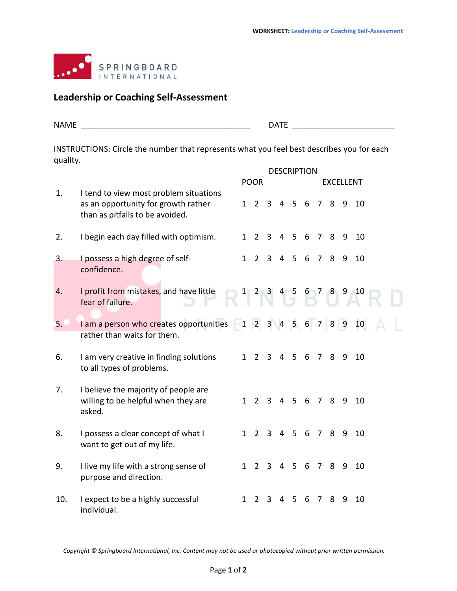

## **Leadership or Coaching Self-Assessment**

| ---<br>NΔ | $\sim$ $\sim$<br>$\mathbf{r}$<br>. . |  |
|-----------|--------------------------------------|--|
|           |                                      |  |

INSTRUCTIONS: Circle the number that represents what you feel best describes you for each quality.

|     |                                                                                                                  | <b>DESCRIPTION</b> |                   |                |                |               |                  |   |     |    |                        |  |  |  |
|-----|------------------------------------------------------------------------------------------------------------------|--------------------|-------------------|----------------|----------------|---------------|------------------|---|-----|----|------------------------|--|--|--|
|     |                                                                                                                  | <b>POOR</b>        |                   |                |                |               | <b>EXCELLENT</b> |   |     |    |                        |  |  |  |
| 1.  | I tend to view most problem situations<br>as an opportunity for growth rather<br>than as pitfalls to be avoided. |                    | $1\quad 2\quad 3$ |                |                | 4 5 6 7 8 9   |                  |   |     |    | 10                     |  |  |  |
| 2.  | I begin each day filled with optimism.                                                                           | $\mathbf{1}$       | 2                 | $\overline{3}$ |                | 4 5 6         |                  |   | 789 |    | 10                     |  |  |  |
| 3.  | I possess a high degree of self-<br>confidence.                                                                  | $1 \quad$          |                   | 2 <sub>3</sub> |                | 4 5 6 7 8     |                  |   |     | 9  | 10                     |  |  |  |
| 4.  | I profit from mistakes, and have little<br>fear of failure.                                                      |                    |                   |                |                |               |                  |   |     |    | $1$ 2 3 4 5 6 7 8 9 10 |  |  |  |
| 5.  | $l$ am a person who creates opportunities $-1$ 2 3 4 5 6 7 8 9<br>rather than waits for them.                    |                    |                   |                |                |               |                  |   |     |    | 10                     |  |  |  |
| 6.  | I am very creative in finding solutions<br>to all types of problems.                                             |                    | $1\quad2$         | $\overline{3}$ |                | 4 5 6 7       |                  |   | 8   | 9  | 10                     |  |  |  |
| 7.  | I believe the majority of people are<br>willing to be helpful when they are<br>asked.                            |                    | $1\quad 2$        |                |                | 3 4 5 6 7 8 9 |                  |   |     |    | 10                     |  |  |  |
| 8.  | I possess a clear concept of what I<br>want to get out of my life.                                               | $1 \quad$          | $2^{\circ}$       | $\mathbf{3}$   |                | 4 5 6 7       |                  |   | 8   | 9  | 10                     |  |  |  |
| 9.  | I live my life with a strong sense of<br>purpose and direction.                                                  | 1                  |                   | 2 <sub>3</sub> |                | 4 5 6 7 8     |                  |   |     | -9 | 10                     |  |  |  |
| 10. | I expect to be a highly successful<br>individual.                                                                | $\mathbf{1}$       | 2                 | 3              | $\overline{4}$ | 5 6           |                  | 7 | 8   | 9  | 10                     |  |  |  |

*Copyright © Springboard International, Inc. Content may not be used or photocopied without prior written permission.*